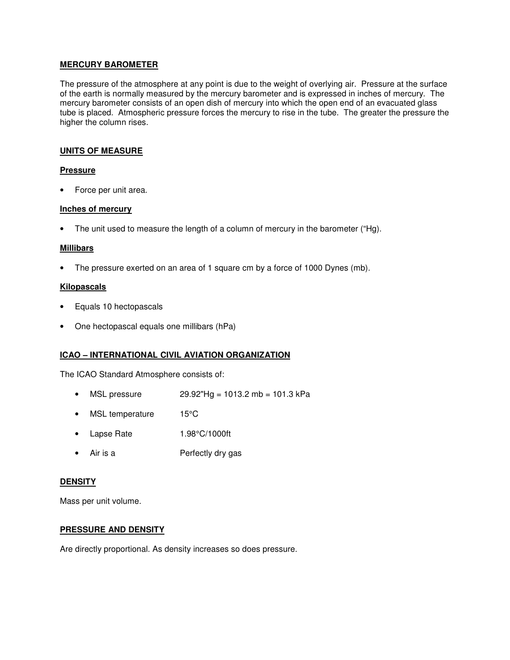# **MERCURY BAROMETER**

The pressure of the atmosphere at any point is due to the weight of overlying air. Pressure at the surface of the earth is normally measured by the mercury barometer and is expressed in inches of mercury. The mercury barometer consists of an open dish of mercury into which the open end of an evacuated glass tube is placed. Atmospheric pressure forces the mercury to rise in the tube. The greater the pressure the higher the column rises.

## **UNITS OF MEASURE**

## **Pressure**

• Force per unit area.

## **Inches of mercury**

• The unit used to measure the length of a column of mercury in the barometer ("Hg).

## **Millibars**

• The pressure exerted on an area of 1 square cm by a force of 1000 Dynes (mb).

## **Kilopascals**

- Equals 10 hectopascals
- One hectopascal equals one millibars (hPa)

# **ICAO – INTERNATIONAL CIVIL AVIATION ORGANIZATION**

The ICAO Standard Atmosphere consists of:

- MSL pressure  $29.92"Hg = 1013.2 \text{ mb} = 101.3 \text{ kPa}$
- MSL temperature 15°C
- Lapse Rate 1.98°C/1000ft
- Air is a **Perfectly dry gas**

#### **DENSITY**

Mass per unit volume.

#### **PRESSURE AND DENSITY**

Are directly proportional. As density increases so does pressure.